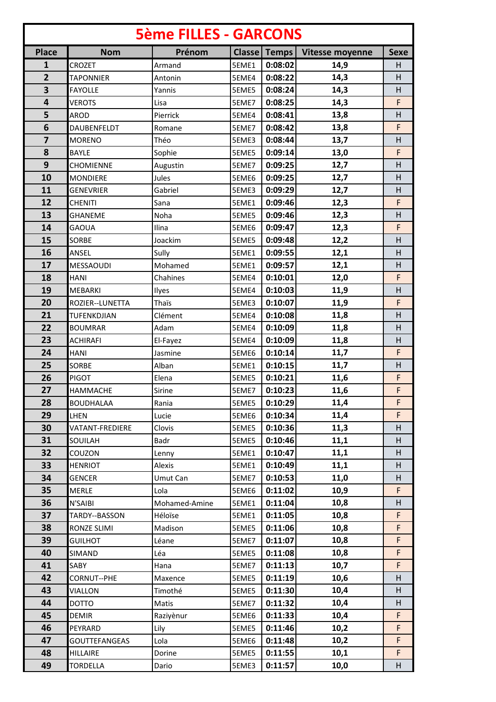| <b>5ème FILLES - GARCONS</b> |                  |               |       |                     |                 |             |
|------------------------------|------------------|---------------|-------|---------------------|-----------------|-------------|
| <b>Place</b>                 | <b>Nom</b>       | Prénom        |       | <b>Classe Temps</b> | Vitesse moyenne | <b>Sexe</b> |
| 1                            | CROZET           | Armand        | 5EME1 | 0:08:02             | 14,9            | H           |
| $\overline{2}$               | <b>TAPONNIER</b> | Antonin       | 5EME4 | 0:08:22             | 14,3            | H           |
| 3                            | <b>FAYOLLE</b>   | Yannis        | 5EME5 | 0:08:24             | 14,3            | H           |
| $\overline{\mathbf{4}}$      | <b>VEROTS</b>    | Lisa          | 5EME7 | 0:08:25             | 14,3            | F           |
| 5                            | <b>AROD</b>      | Pierrick      | 5EME4 | 0:08:41             | 13,8            | H           |
| 6                            | DAUBENFELDT      | Romane        | 5EME7 | 0:08:42             | 13,8            | F           |
| $\overline{\mathbf{z}}$      | <b>MORENO</b>    | Théo          | 5EME3 | 0:08:44             | 13,7            | H           |
| 8                            | <b>BAYLE</b>     | Sophie        | 5EME5 | 0:09:14             | 13,0            | F           |
| 9                            | CHOMIENNE        | Augustin      | 5EME7 | 0:09:25             | 12,7            | H           |
| 10                           | <b>MONDIERE</b>  | Jules         | 5EME6 | 0:09:25             | 12,7            | H           |
| 11                           | <b>GENEVRIER</b> | Gabriel       | 5EME3 | 0:09:29             | 12,7            | H           |
| 12                           | <b>CHENITI</b>   | Sana          | 5EME1 | 0:09:46             | 12,3            | F           |
| 13                           | <b>GHANEME</b>   | Noha          | 5EME5 | 0:09:46             | 12,3            | H           |
| 14                           | <b>GAOUA</b>     | Ilina         | 5EME6 | 0:09:47             | 12,3            | F           |
| 15                           | <b>SORBE</b>     | Joackim       | 5EME5 | 0:09:48             | 12,2            | H           |
| 16                           | ANSEL            | Sully         | 5EME1 | 0:09:55             | 12,1            | H           |
| 17                           | MESSAOUDI        | Mohamed       | 5EME1 | 0:09:57             | 12,1            | H           |
| 18                           | <b>HANI</b>      | Chahines      | 5EME4 | 0:10:01             | 12,0            | F           |
| 19                           | MEBARKI          | Ilyes         | 5EME4 | 0:10:03             | 11,9            | H           |
| 20                           | ROZIER--LUNETTA  | Thaïs         | 5EME3 | 0:10:07             | 11,9            | F           |
| 21                           | TUFENKDJIAN      | Clément       | 5EME4 | 0:10:08             | 11,8            | H           |
| 22                           | <b>BOUMRAR</b>   | Adam          | 5EME4 | 0:10:09             | 11,8            | H           |
| 23                           | <b>ACHIRAFI</b>  | El-Fayez      | 5EME4 | 0:10:09             | 11,8            | H           |
| 24                           | <b>HANI</b>      | Jasmine       | 5EME6 | 0:10:14             | 11,7            | F           |
| 25                           | <b>SORBE</b>     | Alban         | 5EME1 | 0:10:15             | 11,7            | H           |
| 26                           | <b>PIGOT</b>     | Elena         | 5EME5 | 0:10:21             | 11,6            | F           |
| 27                           | HAMMACHE         | Sirine        | 5EME7 | 0:10:23             | 11,6            | F           |
| 28                           | <b>BOUDHALAA</b> | Rania         | 5EME5 | 0:10:29             | 11,4            | F           |
| 29                           | LHEN             | Lucie         | 5EME6 | 0:10:34             | 11,4            | F           |
| 30                           | VATANT-FREDIERE  | Clovis        | 5EME5 | 0:10:36             | 11,3            | H           |
| 31                           | SOUILAH          | Badr          | 5EME5 | 0:10:46             | 11,1            | H           |
| 32                           | COUZON           | Lenny         | 5EME1 | 0:10:47             | 11,1            | H           |
| 33                           | <b>HENRIOT</b>   | Alexis        | 5EME1 | 0:10:49             | 11,1            | H           |
| 34                           | <b>GENCER</b>    | Umut Can      | 5EME7 | 0:10:53             | 11,0            | H           |
| 35                           | <b>MERLE</b>     | Lola          | 5EME6 | 0:11:02             | 10,9            | F           |
| 36                           | N'SAIBI          | Mohamed-Amine | 5EME1 | 0:11:04             | 10,8            | H           |
| 37                           | TARDY--BASSON    | Héloïse       | 5EME1 | 0:11:05             | 10,8            | F           |
| 38                           | RONZE SLIMI      | Madison       | 5EME5 | 0:11:06             | 10,8            | F           |
| 39                           | <b>GUILHOT</b>   | Léane         | 5EME7 | 0:11:07             | 10,8            | F           |
| 40                           | SIMAND           | Léa           | 5EME5 | 0:11:08             | 10,8            | F           |
| 41                           | SABY             | Hana          | 5EME7 | 0:11:13             | 10,7            | F           |
| 42                           | CORNUT--PHE      | Maxence       | 5EME5 | 0:11:19             | 10,6            | H           |
| 43                           | VIALLON          | Timothé       | 5EME5 | 0:11:30             | 10,4            | H           |
| 44                           | <b>DOTTO</b>     | Matis         | 5EME7 | 0:11:32             | 10,4            | H           |
| 45                           | <b>DEMIR</b>     | Raziyènur     | 5EME6 | 0:11:33             | 10,4            | F           |
| 46                           | PEYRARD          | Lily          | 5EME5 | 0:11:46             | 10,2            | F           |
| 47                           | GOUTTEFANGEAS    | Lola          | 5EME6 | 0:11:48             | 10,2            | F           |
| 48                           | HILLAIRE         | Dorine        | 5EME5 | 0:11:55             | 10,1            | F           |
| 49                           | <b>TORDELLA</b>  | Dario         | 5EME3 | 0:11:57             | 10,0            | H           |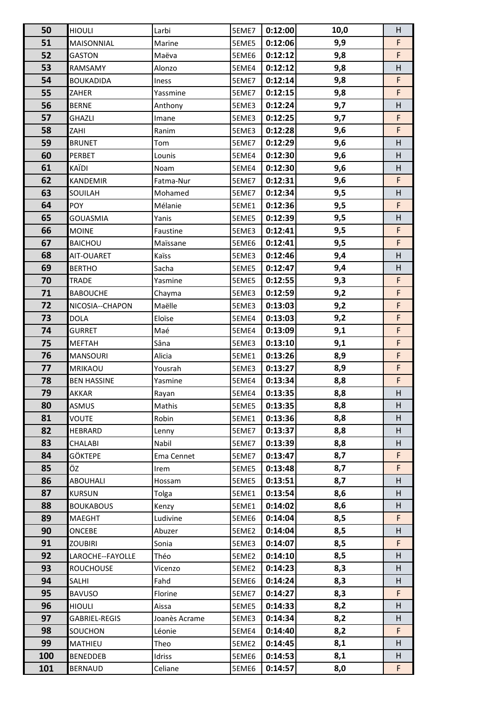| 50  | <b>HIOULI</b>      | Larbi         | 5EME7 | 0:12:00 | 10,0 | Н |
|-----|--------------------|---------------|-------|---------|------|---|
| 51  | MAISONNIAL         | Marine        | 5EME5 | 0:12:06 | 9,9  | F |
| 52  | <b>GASTON</b>      | Maëva         | 5EME6 | 0:12:12 | 9,8  | F |
| 53  | RAMSAMY            | Alonzo        | 5EME4 | 0:12:12 | 9,8  | H |
| 54  | <b>BOUKADIDA</b>   | Iness         | 5EME7 | 0:12:14 | 9,8  | F |
| 55  | ZAHER              | Yassmine      | 5EME7 | 0:12:15 | 9,8  | F |
| 56  | <b>BERNE</b>       | Anthony       | 5EME3 | 0:12:24 | 9,7  | H |
| 57  | GHAZLI             | Imane         | 5EME3 | 0:12:25 | 9,7  | F |
| 58  | ZAHI               | Ranim         | 5EME3 | 0:12:28 | 9,6  | F |
| 59  | <b>BRUNET</b>      | Tom           | 5EME7 | 0:12:29 | 9,6  | H |
| 60  | PERBET             | Lounis        | 5EME4 | 0:12:30 | 9,6  | H |
| 61  | KAÏDI              | Noam          | 5EME4 | 0:12:30 | 9,6  | H |
| 62  | KANDEMIR           | Fatma-Nur     | 5EME7 | 0:12:31 | 9,6  | F |
| 63  | SOUILAH            | Mohamed       | 5EME7 | 0:12:34 | 9,5  | H |
| 64  | <b>POY</b>         | Mélanie       | 5EME1 | 0:12:36 | 9,5  | F |
| 65  | <b>GOUASMIA</b>    | Yanis         | 5EME5 | 0:12:39 | 9,5  | H |
| 66  | <b>MOINE</b>       | Faustine      | 5EME3 | 0:12:41 | 9,5  | F |
| 67  | <b>BAICHOU</b>     | Maïssane      | 5EME6 | 0:12:41 | 9,5  | F |
| 68  | AIT-OUARET         | Kaïss         | 5EME3 | 0:12:46 | 9,4  | н |
| 69  | <b>BERTHO</b>      | Sacha         | 5EME5 | 0:12:47 | 9,4  | H |
| 70  | TRADE              | Yasmine       | 5EME5 | 0:12:55 | 9,3  | F |
| 71  | <b>BABOUCHE</b>    | Chayma        | 5EME3 | 0:12:59 | 9,2  | F |
| 72  | NICOSIA--CHAPON    | Maëlle        | 5EME3 | 0:13:03 | 9,2  | F |
| 73  | <b>DOLA</b>        | Eloïse        | 5EME4 | 0:13:03 | 9,2  | F |
| 74  | <b>GURRET</b>      | Maé           | 5EME4 | 0:13:09 | 9,1  | F |
| 75  | <b>MEFTAH</b>      | Sâna          | 5EME3 | 0:13:10 | 9,1  | F |
| 76  | <b>MANSOURI</b>    | Alicia        | 5EME1 | 0:13:26 | 8,9  | F |
| 77  | MRIKAOU            | Yousrah       | 5EME3 | 0:13:27 | 8,9  | F |
| 78  | <b>BEN HASSINE</b> | Yasmine       | 5EME4 | 0:13:34 | 8,8  | F |
| 79  | <b>AKKAR</b>       | Rayan         | 5EME4 | 0:13:35 | 8,8  | H |
| 80  | ASMUS              | Mathis        | 5EME5 | 0:13:35 | 8,8  | н |
| 81  | VOUTE              | Robin         | 5EME1 | 0:13:36 | 8,8  | H |
| 82  | HEBRARD            | Lenny         | 5EME7 | 0:13:37 | 8,8  | H |
| 83  | CHALABI            | Nabil         | 5EME7 | 0:13:39 | 8,8  | H |
| 84  | GÖKTEPE            | Ema Cennet    | 5EME7 | 0:13:47 | 8,7  | F |
| 85  | ÖZ                 | Irem          | 5EME5 | 0:13:48 | 8,7  | F |
| 86  | ABOUHALI           | Hossam        | 5EME5 | 0:13:51 | 8,7  | н |
| 87  | <b>KURSUN</b>      | Tolga         | 5EME1 | 0:13:54 | 8,6  | H |
| 88  | <b>BOUKABOUS</b>   | Kenzy         | 5EME1 | 0:14:02 | 8,6  | H |
| 89  | MAEGHT             | Ludivine      | 5EME6 | 0:14:04 | 8,5  | F |
| 90  | ONCEBE             | Abuzer        | 5EME2 | 0:14:04 | 8,5  | H |
| 91  | <b>ZOUBIRI</b>     | Sonia         | 5EME3 | 0:14:07 | 8,5  | F |
| 92  | LAROCHE--FAYOLLE   | Théo          | 5EME2 | 0:14:10 | 8,5  | н |
| 93  | <b>ROUCHOUSE</b>   | Vicenzo       | 5EME2 | 0:14:23 | 8,3  | H |
| 94  | SALHI              | Fahd          | 5EME6 | 0:14:24 | 8,3  | H |
| 95  | <b>BAVUSO</b>      | Florine       | 5EME7 | 0:14:27 | 8,3  | F |
| 96  | <b>HIOULI</b>      | Aissa         | 5EME5 | 0:14:33 | 8,2  | н |
| 97  | GABRIEL-REGIS      | Joanès Acrame | 5EME3 | 0:14:34 | 8,2  | H |
| 98  | SOUCHON            | Léonie        | 5EME4 | 0:14:40 | 8,2  | F |
| 99  | MATHIEU            | Theo          | 5EME2 | 0:14:45 | 8,1  | H |
| 100 | <b>BENEDDEB</b>    | Idriss        | 5EME6 | 0:14:53 | 8,1  | H |
|     | <b>BERNAUD</b>     | Celiane       | 5EME6 | 0:14:57 | 8,0  | F |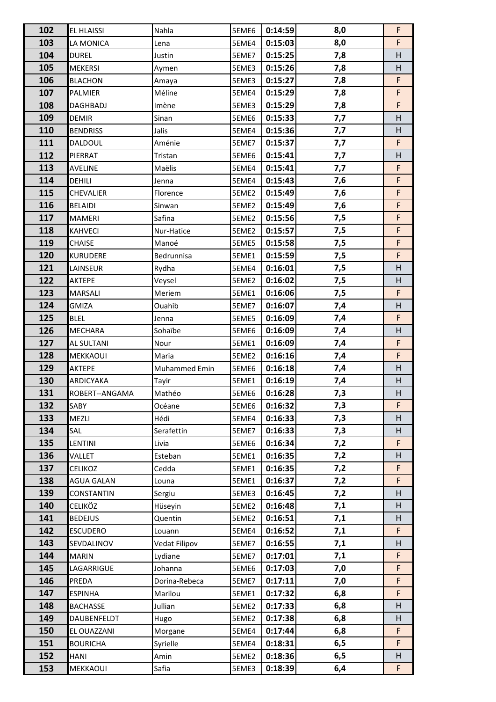| 103<br>8,0<br>0:15:03<br>LA MONICA<br>5EME4<br>Lena                                                        | F       |
|------------------------------------------------------------------------------------------------------------|---------|
|                                                                                                            |         |
| 104<br>0:15:25<br>7,8<br><b>DUREL</b><br>5EME7<br>Justin                                                   | H       |
| 105<br>7,8<br>0:15:26<br><b>MEKERSI</b><br>5EME3<br>Aymen                                                  | H       |
| 106<br>7,8<br>5EME3<br>0:15:27<br><b>BLACHON</b><br>Amaya                                                  | F       |
| 107<br>0:15:29<br>7,8<br>Méline<br>5EME4<br>PALMIER                                                        | F       |
| 108<br>0:15:29<br>5EME3<br>7,8<br>DAGHBADJ<br>Imène                                                        | F       |
| 109<br>5EME6<br>0:15:33<br>7,7<br><b>DEMIR</b><br>Sinan                                                    | H       |
| 110<br>7,7<br>Jalis<br>5EME4<br>0:15:36<br><b>BENDRISS</b>                                                 | Н       |
| 111<br>7,7<br>0:15:37<br>DALDOUL<br>Aménie<br>5EME7                                                        | F       |
| 112<br>0:15:41<br>7,7<br>PIERRAT<br>5EME6<br>Tristan                                                       | H       |
| 113<br>5EME4<br>0:15:41<br>7,7<br><b>AVELINE</b><br>Maëlis                                                 | F       |
| 114<br>DEHILI<br>0:15:43<br>7,6<br>5EME4<br>Jenna                                                          | F       |
| 115<br>0:15:49<br>7,6<br>CHEVALIER<br>Florence<br>5EME2                                                    | F       |
| 116<br>0:15:49<br><b>BELAIDI</b><br>5EME2<br>7,6<br>Sinwan                                                 | F       |
| 117<br>7,5<br>Safina<br>5EME2<br>0:15:56<br><b>MAMERI</b>                                                  | F       |
| 118<br>0:15:57<br>7,5<br><b>KAHVECI</b><br>Nur-Hatice<br>5EME2                                             | F       |
| 119<br>7,5<br>0:15:58<br>CHAISE<br>Manoé<br>5EME5                                                          | F       |
| 120<br>7,5<br><b>KURUDERE</b><br>5EME1<br>0:15:59<br>Bedrunnisa                                            | F       |
| 121<br>0:16:01<br>7,5<br>5EME4<br>LAINSEUR<br>Rydha                                                        | H       |
| 122<br>AKTEPE<br>0:16:02<br>7,5<br>Veysel<br>5EME2                                                         | Н       |
| 123<br>0:16:06<br>7,5<br>5EME1<br><b>MARSALI</b><br>Meriem                                                 | F       |
| 124<br><b>GMIZA</b><br>0:16:07<br>7,4<br>Ouahib<br>5EME7                                                   | H       |
| 125<br><b>BLEL</b><br>0:16:09<br>7,4<br>5EME5<br>Jenna                                                     | F       |
| 126<br><b>MECHARA</b><br>Sohaïbe<br>0:16:09<br>7,4<br>5EME6                                                | Н       |
| 127<br>0:16:09<br>7,4<br>5EME1<br>AL SULTANI<br>Nour                                                       | F       |
| 128<br>5EME2<br>0:16:16<br>MEKKAOUI<br>Maria<br>7,4                                                        | F       |
| 129<br>Muhammed Emin<br>0:16:18<br>5EME6<br>7,4<br>AKTEPE                                                  | H       |
| 130<br>0:16:19<br>ARDICYAKA<br>5EME1<br>7,4<br>Tayir                                                       | Н       |
| 131<br>0:16:28<br>5EME6<br>7,3<br>ROBERT--ANGAMA<br>Mathéo                                                 | Н       |
| 0:16:32<br>132<br>SABY<br>Océane<br>5EME6<br>7,3                                                           | F       |
| 133<br>5EME4<br>0:16:33<br>MEZLI<br>Hédi<br>7,3                                                            | H       |
| 134<br>5EME7<br>0:16:33<br>SAL<br>Serafettin<br>7,3                                                        | H       |
| 135<br>5EME6<br>0:16:34<br>LENTINI<br>Livia<br>7,2                                                         | F       |
| 136<br>Esteban<br>5EME1<br>0:16:35<br>VALLET<br>7,2                                                        | H       |
| 137<br>5EME1<br>0:16:35<br>CELIKOZ<br>Cedda<br>7,2                                                         | F       |
| 138<br><b>AGUA GALAN</b><br>5EME1<br>0:16:37<br>7,2<br>Louna                                               | F.      |
| 139<br>0:16:45<br>5EME3<br>7,2<br><b>CONSTANTIN</b><br>Sergiu                                              | H       |
| 140<br>CELIKÖZ<br>5EME2<br>0:16:48<br>7,1<br>Hüseyin                                                       | H       |
| 141<br>0:16:51<br><b>BEDEJUS</b><br>Quentin<br>5EME2<br>7,1                                                | H       |
| 142<br><b>ESCUDERO</b><br>5EME4<br>0:16:52<br>Louann<br>7,1                                                | F.      |
| 143<br>0:16:55<br>SEVDALINOV<br>5EME7<br>7,1<br>Vedat Filipov                                              | H       |
| 144<br>0:17:01<br><b>MARIN</b><br>Lydiane<br>5EME7<br>7,1                                                  | F.<br>F |
| 145<br>0:17:03<br>LAGARRIGUE<br>Johanna<br>5EME6<br>7,0<br>146<br>0:17:11<br><b>PREDA</b><br>Dorina-Rebeca | F.      |
| 5EME7<br>7,0<br>147<br>0:17:32<br>Marilou<br>5EME1<br>6,8<br><b>ESPINHA</b>                                | F       |
| 148<br>5EME2<br>0:17:33<br><b>BACHASSE</b><br>Jullian<br>6,8                                               | H       |
| 149<br>0:17:38<br>5EME2<br>6,8<br>DAUBENFELDT<br>Hugo                                                      | H       |
| 150<br>EL OUAZZANI<br>5EME4<br>0:17:44<br>Morgane<br>6,8                                                   | F.      |
| 0:18:31<br>151<br><b>BOURICHA</b><br>Syrielle<br>5EME4<br>6,5                                              | F       |
| 152<br>0:18:36<br><b>HANI</b><br>Amin<br>5EME2<br>6,5                                                      | H       |
| 0:18:39<br>153<br><b>MEKKAOUI</b><br>Safia<br>6,4<br>5EME3                                                 | F.      |